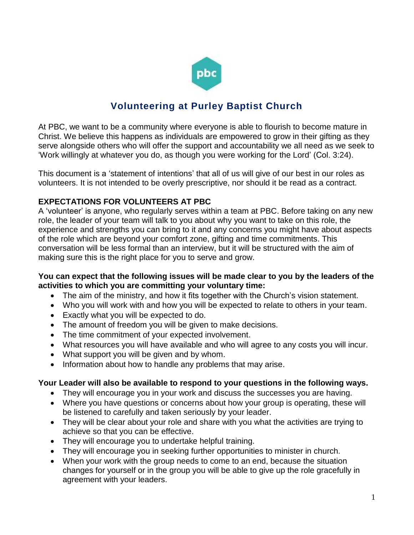

# **Volunteering at Purley Baptist Church**

At PBC, we want to be a community where everyone is able to flourish to become mature in Christ. We believe this happens as individuals are empowered to grow in their gifting as they serve alongside others who will offer the support and accountability we all need as we seek to 'Work willingly at whatever you do, as though you were working for the Lord' (Col. 3:24).

This document is a 'statement of intentions' that all of us will give of our best in our roles as volunteers. It is not intended to be overly prescriptive, nor should it be read as a contract.

## **EXPECTATIONS FOR VOLUNTEERS AT PBC**

A 'volunteer' is anyone, who regularly serves within a team at PBC. Before taking on any new role, the leader of your team will talk to you about why you want to take on this role, the experience and strengths you can bring to it and any concerns you might have about aspects of the role which are beyond your comfort zone, gifting and time commitments. This conversation will be less formal than an interview, but it will be structured with the aim of making sure this is the right place for you to serve and grow.

#### **You can expect that the following issues will be made clear to you by the leaders of the activities to which you are committing your voluntary time:**

- The aim of the ministry, and how it fits together with the Church's vision statement.
- Who you will work with and how you will be expected to relate to others in your team.
- Exactly what you will be expected to do.
- The amount of freedom you will be given to make decisions.
- The time commitment of your expected involvement.
- What resources you will have available and who will agree to any costs you will incur.
- What support you will be given and by whom.
- Information about how to handle any problems that may arise.

### **Your Leader will also be available to respond to your questions in the following ways.**

- They will encourage you in your work and discuss the successes you are having.
- Where you have questions or concerns about how your group is operating, these will be listened to carefully and taken seriously by your leader.
- They will be clear about your role and share with you what the activities are trying to achieve so that you can be effective.
- They will encourage you to undertake helpful training.
- They will encourage you in seeking further opportunities to minister in church.
- When your work with the group needs to come to an end, because the situation changes for yourself or in the group you will be able to give up the role gracefully in agreement with your leaders.